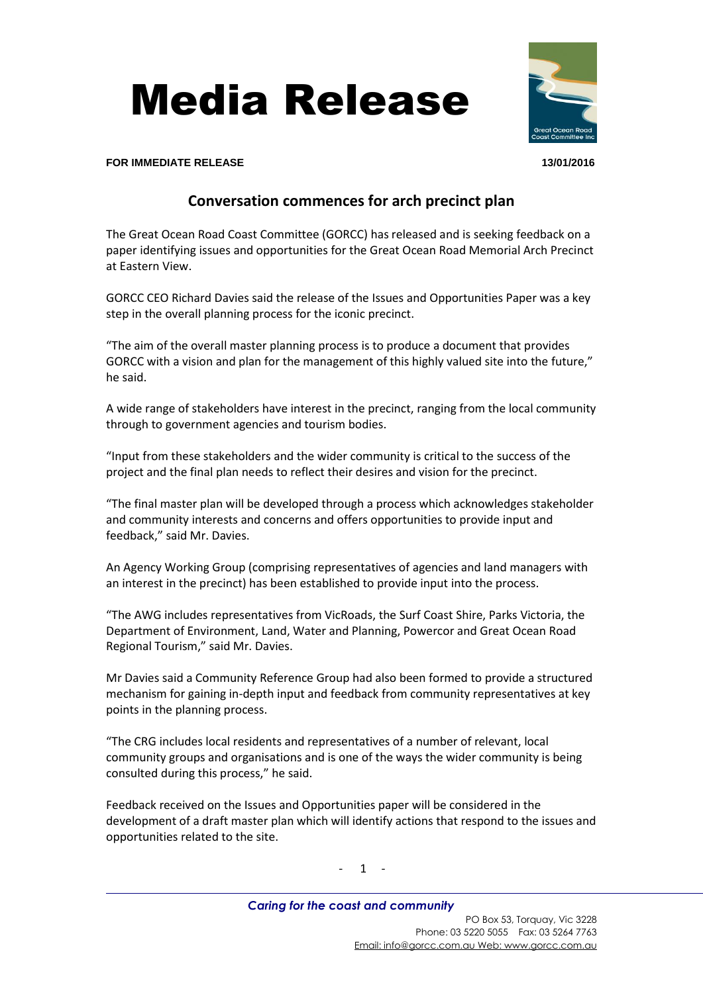



**FOR IMMEDIATE RELEASE 13/01/2016**

## **Conversation commences for arch precinct plan**

The Great Ocean Road Coast Committee (GORCC) has released and is seeking feedback on a paper identifying issues and opportunities for the Great Ocean Road Memorial Arch Precinct at Eastern View.

GORCC CEO Richard Davies said the release of the Issues and Opportunities Paper was a key step in the overall planning process for the iconic precinct.

"The aim of the overall master planning process is to produce a document that provides GORCC with a vision and plan for the management of this highly valued site into the future," he said.

A wide range of stakeholders have interest in the precinct, ranging from the local community through to government agencies and tourism bodies.

"Input from these stakeholders and the wider community is critical to the success of the project and the final plan needs to reflect their desires and vision for the precinct.

"The final master plan will be developed through a process which acknowledges stakeholder and community interests and concerns and offers opportunities to provide input and feedback," said Mr. Davies.

An Agency Working Group (comprising representatives of agencies and land managers with an interest in the precinct) has been established to provide input into the process.

"The AWG includes representatives from VicRoads, the Surf Coast Shire, Parks Victoria, the Department of Environment, Land, Water and Planning, Powercor and Great Ocean Road Regional Tourism," said Mr. Davies.

Mr Davies said a Community Reference Group had also been formed to provide a structured mechanism for gaining in-depth input and feedback from community representatives at key points in the planning process.

"The CRG includes local residents and representatives of a number of relevant, local community groups and organisations and is one of the ways the wider community is being consulted during this process," he said.

Feedback received on the Issues and Opportunities paper will be considered in the development of a draft master plan which will identify actions that respond to the issues and opportunities related to the site.

 $1 -$